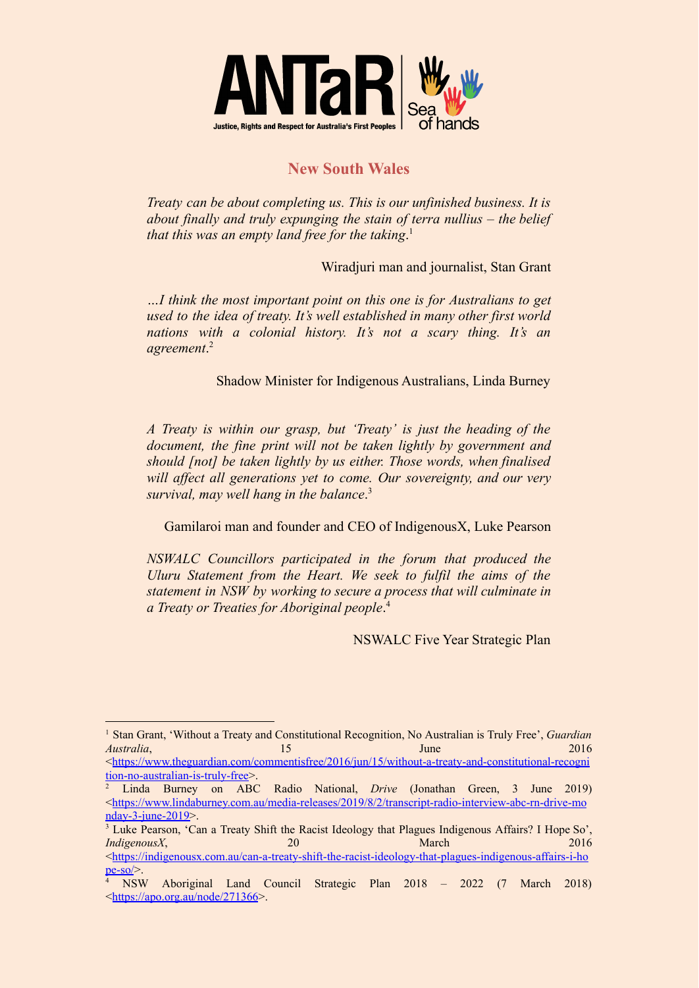

## **New South Wales**

*Treaty can be about completing us. This is our unfinished business. It is about finally and truly expunging the stain of terra nullius – the belief that this was an empty land free for the taking*. 1

Wiradjuri man and journalist, Stan Grant

*…I think the most important point on this one is for Australians to get used to the idea of treaty. It's well established in many other first world nations with a colonial history. It's not a scary thing. It's an agreement*. 2

Shadow Minister for Indigenous Australians, Linda Burney

*A Treaty is within our grasp, but 'Treaty' is just the heading of the document, the fine print will not be taken lightly by government and should [not] be taken lightly by us either. Those words, when finalised will affect all generations yet to come. Our sovereignty, and our very survival, may well hang in the balance*. 3

Gamilaroi man and founder and CEO of IndigenousX, Luke Pearson

*NSWALC Councillors participated in the forum that produced the Uluru Statement from the Heart. We seek to fulfil the aims of the statement in NSW by working to secure a process that will culminate in a Treaty or Treaties for Aboriginal people*. 4

NSWALC Five Year Strategic Plan

 $\langle \frac{https://www.theguardian.com/commentisfree/2016/jun/15/without-a-treatv-and-constitutional-recogni}$ [tion-no-australian-is-truly-free](https://www.theguardian.com/commentisfree/2016/jun/15/without-a-treaty-and-constitutional-recognition-no-australian-is-truly-free)>.

<sup>1</sup> Stan Grant, 'Without a Treaty and Constitutional Recognition, No Australian is Truly Free', *Guardian Australia*, 2016

<sup>2</sup> Linda Burney on ABC Radio National, *Drive* (Jonathan Green, 3 June 2019) <[https://www.lindaburney.com.au/media-releases/2019/8/2/transcript-radio-interview-abc-rn-drive-mo](https://www.lindaburney.com.au/media-releases/2019/8/2/transcript-radio-interview-abc-rn-drive-monday-3-june-2019) [nday-3-june-2019>](https://www.lindaburney.com.au/media-releases/2019/8/2/transcript-radio-interview-abc-rn-drive-monday-3-june-2019).

<sup>&</sup>lt;sup>3</sup> Luke Pearson, 'Can a Treaty Shift the Racist Ideology that Plagues Indigenous Affairs? I Hope So', *IndigenousX*, 20 March 2016 <[https://indigenousx.com.au/can-a-treaty-shift-the-racist-ideology-that-plagues-indigenous-affairs-i-ho](https://indigenousx.com.au/can-a-treaty-shift-the-racist-ideology-that-plagues-indigenous-affairs-i-hope-so/)  $pe-so$ 

<sup>4</sup> NSW Aboriginal Land Council Strategic Plan 2018 – 2022 (7 March 2018) <<https://apo.org.au/node/271366>>.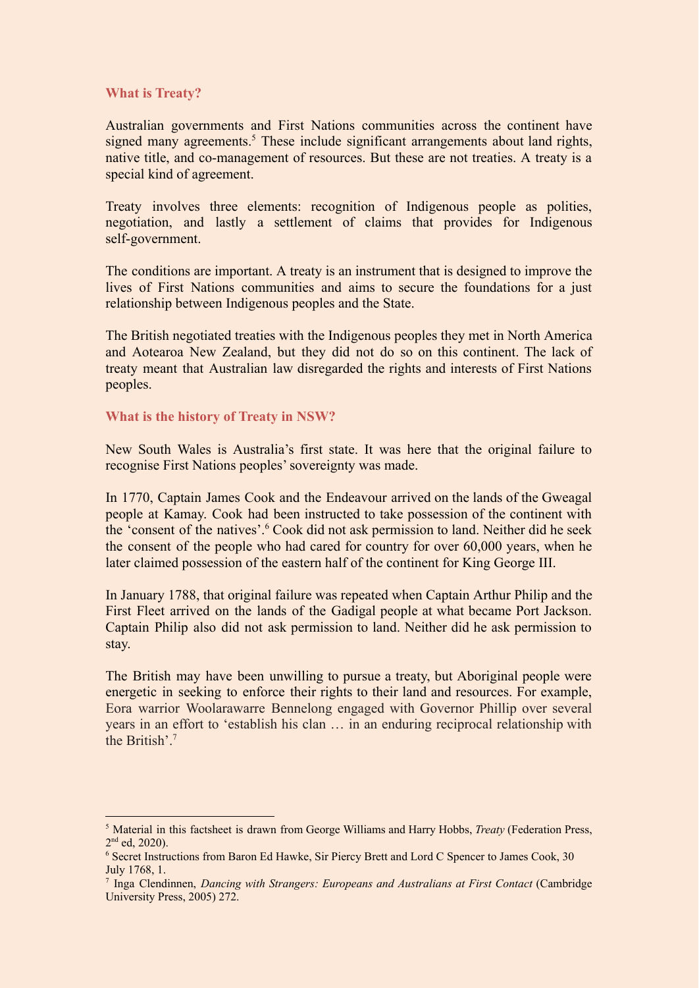## **What is Treaty?**

Australian governments and First Nations communities across the continent have signed many agreements.<sup>5</sup> These include significant arrangements about land rights, native title, and co-management of resources. But these are not treaties. A treaty is a special kind of agreement.

Treaty involves three elements: recognition of Indigenous people as polities, negotiation, and lastly a settlement of claims that provides for Indigenous self-government.

The conditions are important. A treaty is an instrument that is designed to improve the lives of First Nations communities and aims to secure the foundations for a just relationship between Indigenous peoples and the State.

The British negotiated treaties with the Indigenous peoples they met in North America and Aotearoa New Zealand, but they did not do so on this continent. The lack of treaty meant that Australian law disregarded the rights and interests of First Nations peoples.

## **What is the history of Treaty in NSW?**

New South Wales is Australia's first state. It was here that the original failure to recognise First Nations peoples' sovereignty was made.

In 1770, Captain James Cook and the Endeavour arrived on the lands of the Gweagal people at Kamay. Cook had been instructed to take possession of the continent with the 'consent of the natives'.<sup>6</sup> Cook did not ask permission to land. Neither did he seek the consent of the people who had cared for country for over 60,000 years, when he later claimed possession of the eastern half of the continent for King George III.

In January 1788, that original failure was repeated when Captain Arthur Philip and the First Fleet arrived on the lands of the Gadigal people at what became Port Jackson. Captain Philip also did not ask permission to land. Neither did he ask permission to stay.

The British may have been unwilling to pursue a treaty, but Aboriginal people were energetic in seeking to enforce their rights to their land and resources. For example, Eora warrior Woolarawarre Bennelong engaged with Governor Phillip over several years in an effort to 'establish his clan … in an enduring reciprocal relationship with the British'<sup>7</sup>

<sup>5</sup> Material in this factsheet is drawn from George Williams and Harry Hobbs, *Treaty* (Federation Press, 2<sup>nd</sup> ed, 2020).

<sup>6</sup> Secret Instructions from Baron Ed Hawke, Sir Piercy Brett and Lord C Spencer to James Cook, 30 July 1768, 1.

<sup>7</sup> Inga Clendinnen, *Dancing with Strangers: Europeans and Australians at First Contact* (Cambridge University Press, 2005) 272.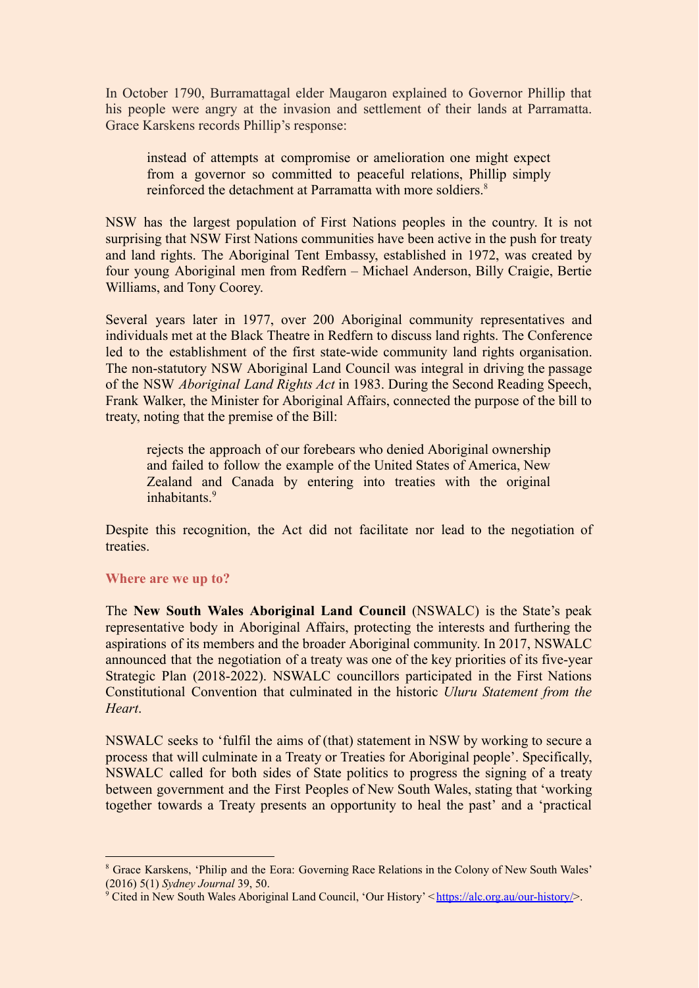In October 1790, Burramattagal elder Maugaron explained to Governor Phillip that his people were angry at the invasion and settlement of their lands at Parramatta. Grace Karskens records Phillip's response:

instead of attempts at compromise or amelioration one might expect from a governor so committed to peaceful relations, Phillip simply reinforced the detachment at Parramatta with more soldiers.<sup>8</sup>

NSW has the largest population of First Nations peoples in the country. It is not surprising that NSW First Nations communities have been active in the push for treaty and land rights. The Aboriginal Tent Embassy, established in 1972, was created by four young Aboriginal men from Redfern – Michael Anderson, Billy Craigie, Bertie Williams, and Tony Coorey.

Several years later in 1977, over 200 Aboriginal community representatives and individuals met at the Black Theatre in Redfern to discuss land rights. The Conference led to the establishment of the first state-wide community land rights organisation. The non-statutory NSW Aboriginal Land Council was integral in driving the passage of the NSW *Aboriginal Land Rights Act* in 1983. During the Second Reading Speech, Frank Walker, the Minister for Aboriginal Affairs, connected the purpose of the bill to treaty, noting that the premise of the Bill:

rejects the approach of our forebears who denied Aboriginal ownership and failed to follow the example of the United States of America, New Zealand and Canada by entering into treaties with the original inhabitants<sup>9</sup>

Despite this recognition, the Act did not facilitate nor lead to the negotiation of treaties.

## **Where are we up to?**

The **New South Wales Aboriginal Land Council** (NSWALC) is the State's peak representative body in Aboriginal Affairs, protecting the interests and furthering the aspirations of its members and the broader Aboriginal community. In 2017, NSWALC announced that the negotiation of a treaty was one of the key priorities of its five-year Strategic Plan (2018-2022). NSWALC councillors participated in the First Nations Constitutional Convention that culminated in the historic *Uluru Statement from the Heart*.

NSWALC seeks to 'fulfil the aims of (that) statement in NSW by working to secure a process that will culminate in a Treaty or Treaties for Aboriginal people'. Specifically, NSWALC called for both sides of State politics to progress the signing of a treaty between government and the First Peoples of New South Wales, stating that 'working together towards a Treaty presents an opportunity to heal the past' and a 'practical

<sup>8</sup> Grace Karskens, 'Philip and the Eora: Governing Race Relations in the Colony of New South Wales' (2016) 5(1) *Sydney Journal* 39, 50.

<sup>&</sup>lt;sup>9</sup> Cited in New South Wales Aboriginal Land Council, 'Our History' < [https://alc.org.au/our-history/>](https://alc.org.au/our-history/).